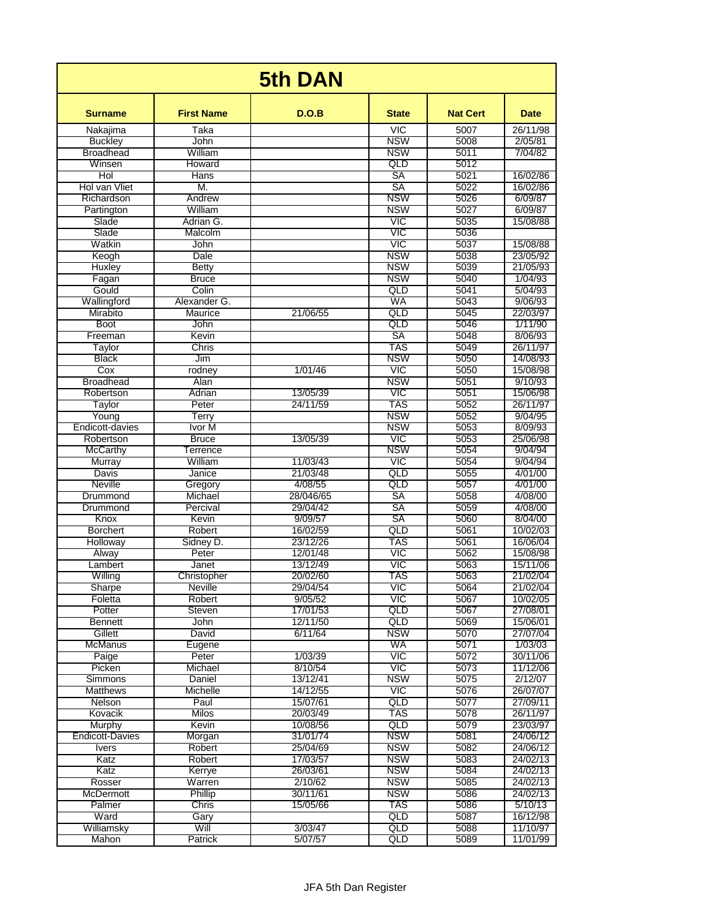| <b>5th DAN</b>             |                     |                      |                          |                 |                      |  |  |  |
|----------------------------|---------------------|----------------------|--------------------------|-----------------|----------------------|--|--|--|
| <b>Surname</b>             | <b>First Name</b>   | D.O.B                | <b>State</b>             | <b>Nat Cert</b> | <b>Date</b>          |  |  |  |
| Nakajima                   | Taka                |                      | <b>VIC</b>               | 5007            | 26/11/98             |  |  |  |
| <b>Buckley</b>             | <b>John</b>         |                      | <b>NSW</b>               | 5008            | 2/05/81              |  |  |  |
| <b>Broadhead</b><br>Winsen | William<br>Howard   |                      | <b>NSW</b><br>QLD        | 5011<br>5012    | 7/04/82              |  |  |  |
| Hol                        | Hans                |                      | SA                       | 5021            | 16/02/86             |  |  |  |
| Hol van Vliet              | M.                  |                      | SA                       | 5022            | 16/02/86             |  |  |  |
| Richardson                 | Andrew              |                      | <b>NSW</b>               | 5026            | 6/09/87              |  |  |  |
| Partington                 | William             |                      | <b>NSW</b>               | 5027            | 6/09/87              |  |  |  |
| Slade                      | Adrian G.           |                      | VIC                      | 5035            | 15/08/88             |  |  |  |
| Slade                      | Malcolm             |                      | <b>VIC</b>               | 5036            |                      |  |  |  |
| Watkin<br>Keogh            | John<br><b>Dale</b> |                      | VIC<br><b>NSW</b>        | 5037<br>5038    | 15/08/88<br>23/05/92 |  |  |  |
| <b>Huxley</b>              | <b>Betty</b>        |                      | <b>NSW</b>               | 5039            | 21/05/93             |  |  |  |
| Fagan                      | <b>Bruce</b>        |                      | <b>NSW</b>               | 5040            | 1/04/93              |  |  |  |
| Gould                      | Colin               |                      | QLD                      | 5041            | 5/04/93              |  |  |  |
| Wallingford                | Alexander G.        |                      | WA                       | 5043            | 9/06/93              |  |  |  |
| Mirabito                   | Maurice             | 21/06/55             | QLD                      | 5045            | 22/03/97             |  |  |  |
| <b>Boot</b>                | John                |                      | QLD                      | 5046            | 1/11/90              |  |  |  |
| Freeman<br>Taylor          | Kevin<br>Chris      |                      | SA<br>TAS                | 5048<br>5049    | 8/06/93<br>26/11/97  |  |  |  |
| <b>Black</b>               | Jim                 |                      | <b>NSW</b>               | 5050            | 14/08/93             |  |  |  |
| $\overline{\text{Cox}}$    | rodney              | 1/01/46              | VIC                      | 5050            | 15/08/98             |  |  |  |
| <b>Broadhead</b>           | Alan                |                      | <b>NSW</b>               | 5051            | 9/10/93              |  |  |  |
| Robertson                  | Adrian              | 13/05/39             | VIC                      | 5051            | 15/06/98             |  |  |  |
| Taylor                     | Peter               | 24/11/59             | TAS                      | 5052            | 26/11/97             |  |  |  |
| Young                      | Terry               |                      | <b>NSW</b>               | 5052            | 9/04/95              |  |  |  |
| Endicott-davies            | Ivor M              |                      | <b>NSW</b>               | 5053            | 8/09/93              |  |  |  |
| Robertson                  | <b>Bruce</b>        | 13/05/39             | VIC<br><b>NSW</b>        | 5053            | 25/06/98             |  |  |  |
| McCarthy<br>Murray         | Terrence<br>William | 11/03/43             | VIC                      | 5054<br>5054    | 9/04/94<br>9/04/94   |  |  |  |
| Davis                      | Janice              | 21/03/48             | QLD                      | 5055            | 4/01/00              |  |  |  |
| Neville                    | Gregory             | 4/08/55              | QLD                      | 5057            | 4/01/00              |  |  |  |
| Drummond                   | Michael             | 28/046/65            | SA                       | 5058            | 4/08/00              |  |  |  |
| Drummond                   | Percival            | 29/04/42             | SA                       | 5059            | 4/08/00              |  |  |  |
| Knox                       | Kevin               | 9/09/57              | SA                       | 5060            | 8/04/00              |  |  |  |
| <b>Borchert</b>            | Robert              | 16/02/59             | QLD                      | 5061            | 10/02/03             |  |  |  |
| Holloway                   | Sidney D.           | 23/12/26             | TAS<br>VIC               | 5061            | 16/06/04             |  |  |  |
| Alway<br>Lambert           | Peter<br>Janet      | 12/01/48<br>13/12/49 | <b>VIC</b>               | 5062<br>5063    | 15/08/98<br>15/11/06 |  |  |  |
| Willing                    | Christopher         | 20/02/60             | TAS                      | 5063            | 21/02/04             |  |  |  |
| Sharpe                     | <b>Neville</b>      | 29/04/54             | <b>VIC</b>               | 5064            | 21/02/04             |  |  |  |
| Foletta                    | Robert              | 9/05/52              | <b>VIC</b>               | 5067            | 10/02/05             |  |  |  |
| Potter                     | Steven              | 17/01/53             | QLD                      | 5067            | 27/08/01             |  |  |  |
| <b>Bennett</b>             | John                | 12/11/50             | QLD                      | 5069            | 15/06/01             |  |  |  |
| Gillett                    | David               | 6/11/64              | <b>NSW</b>               | 5070            | 27/07/04             |  |  |  |
| McManus                    | Eugene              |                      | WA                       | 5071<br>5072    | 1/03/03<br>30/11/06  |  |  |  |
| Paige<br>Picken            | Peter<br>Michael    | 1/03/39<br>8/10/54   | <b>VIC</b><br><b>VIC</b> | 5073            | 11/12/06             |  |  |  |
| Simmons                    | Daniel              | 13/12/41             | <b>NSW</b>               | 5075            | 2/12/07              |  |  |  |
| <b>Matthews</b>            | Michelle            | 14/12/55             | <b>VIC</b>               | 5076            | 26/07/07             |  |  |  |
| Nelson                     | Paul                | 15/07/61             | QLD                      | 5077            | 27/09/11             |  |  |  |
| Kovacik                    | <b>Milos</b>        | 20/03/49             | TAS                      | 5078            | 26/11/97             |  |  |  |
| Murphy                     | Kevin               | 10/08/56             | QLD                      | 5079            | 23/03/97             |  |  |  |
| <b>Endicott-Davies</b>     | Morgan              | 31/01/74             | <b>NSW</b>               | 5081            | 24/06/12             |  |  |  |
| <b>Ivers</b>               | Robert              | 25/04/69             | <b>NSW</b>               | 5082            | 24/06/12             |  |  |  |
| Katz<br>Katz               | Robert<br>Kerrye    | 17/03/57<br>26/03/61 | <b>NSW</b><br><b>NSW</b> | 5083<br>5084    | 24/02/13<br>24/02/13 |  |  |  |
| Rosser                     | Warren              | 2/10/62              | <b>NSW</b>               | 5085            | 24/02/13             |  |  |  |
| McDermott                  | Phillip             | 30/11/61             | <b>NSW</b>               | 5086            | 24/02/13             |  |  |  |
| Palmer                     | Chris               | 15/05/66             | TAS                      | 5086            | 5/10/13              |  |  |  |
| Ward                       | Gary                |                      | QLD                      | 5087            | 16/12/98             |  |  |  |
| Williamsky                 | Will                | 3/03/47              | QLD                      | 5088            | 11/10/97             |  |  |  |
| Mahon                      | Patrick             | 5/07/57              | QLD                      | 5089            | 11/01/99             |  |  |  |